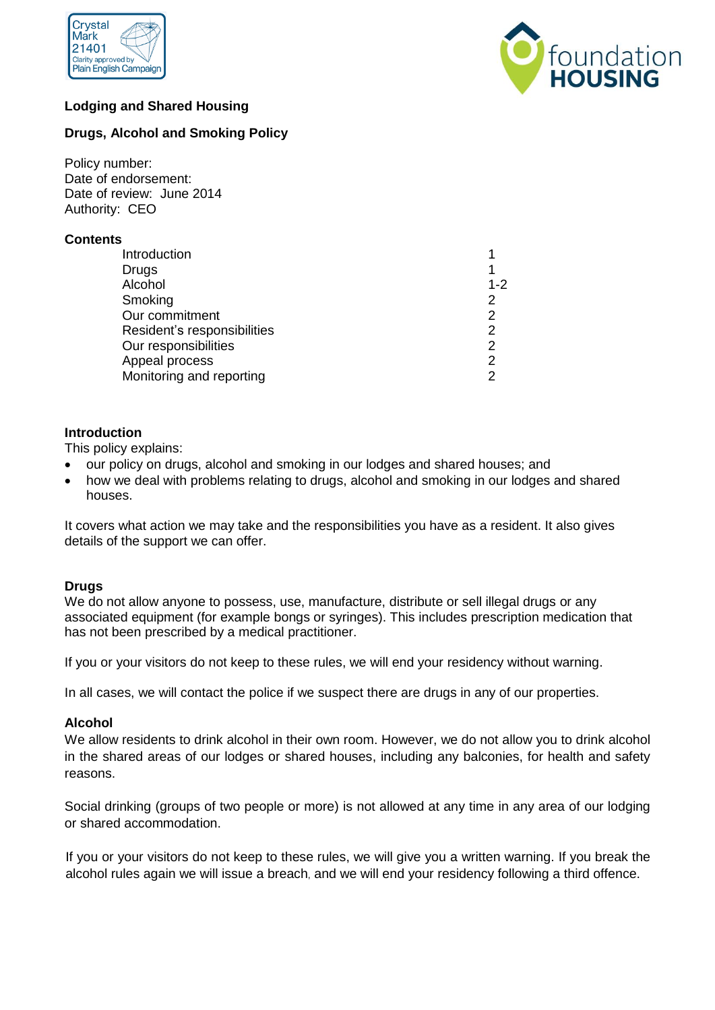



# **Lodging and Shared Housing**

# **Drugs, Alcohol and Smoking Policy**

Policy number: Date of endorsement: Date of review: June 2014 Authority: CEO

## **Contents**

| Introduction                |         |
|-----------------------------|---------|
| Drugs                       |         |
| Alcohol                     | $1 - 2$ |
| Smoking                     | 2       |
| Our commitment              | 2       |
| Resident's responsibilities | 2       |
| Our responsibilities        | 2       |
| Appeal process              | 2       |
| Monitoring and reporting    | 2       |

## **Introduction**

This policy explains:

- our policy on drugs, alcohol and smoking in our lodges and shared houses; and
- how we deal with problems relating to drugs, alcohol and smoking in our lodges and shared houses.

It covers what action we may take and the responsibilities you have as a resident. It also gives details of the support we can offer.

### **Drugs**

We do not allow anyone to possess, use, manufacture, distribute or sell illegal drugs or any associated equipment (for example bongs or syringes). This includes prescription medication that has not been prescribed by a medical practitioner.

If you or your visitors do not keep to these rules, we will end your residency without warning.

In all cases, we will contact the police if we suspect there are drugs in any of our properties.

### **Alcohol**

We allow residents to drink alcohol in their own room. However, we do not allow you to drink alcohol in the shared areas of our lodges or shared houses, including any balconies, for health and safety reasons.

Social drinking (groups of two people or more) is not allowed at any time in any area of our lodging or shared accommodation.

If you or your visitors do not keep to these rules, we will give you a written warning. If you break the alcohol rules again we will issue a breach, and we will end your residency following a third offence.